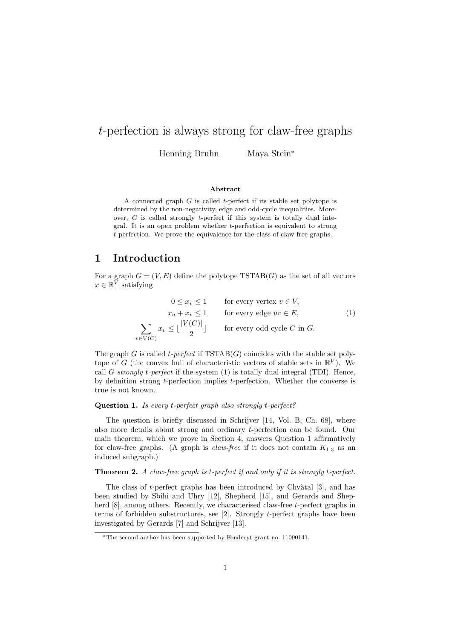# *t*-perfection is always strong for claw-free graphs

Henning Bruhn Maya Stein*<sup>∗</sup>*

#### **Abstract**

A connected graph *G* is called *t*-perfect if its stable set polytope is determined by the non-negativity, edge and odd-cycle inequalities. Moreover, *G* is called strongly *t*-perfect if this system is totally dual integral. It is an open problem whether *t*-perfection is equivalent to strong *t*-perfection. We prove the equivalence for the class of claw-free graphs.

### **1 Introduction**

*v* (*C*)

For a graph  $G = (V, E)$  define the polytope  $TSTAB(G)$  as the set of all vectors  $x \in \mathbb{R}^V$  satisfying

$$
0 \le x_v \le 1 \qquad \text{for every vertex } v \in V,
$$
  
\n
$$
x_u + x_v \le 1 \qquad \text{for every edge } uv \in E,
$$
  
\n
$$
\sum_{\in V(C)} x_v \le \lfloor \frac{|V(C)|}{2} \rfloor \qquad \text{for every odd cycle } C \text{ in } G.
$$
 (1)

The graph *G* is called *t-perfect* if  $TSTAB(G)$  coincides with the stable set polytope of *G* (the convex hull of characteristic vectors of stable sets in  $\mathbb{R}^V$ ). We call *G strongly t-perfect* if the system (1) is totally dual integral (TDI). Hence, by definition strong *t*-perfection implies *t*-perfection. Whether the converse is true is not known.

#### **Question 1.** *Is every t-perfect graph also strongly t-perfect?*

The question is briefly discussed in Schrijver [14, Vol. B, Ch. 68], where also more details about strong and ordinary *t*-perfection can be found. Our main theorem, which we prove in Section 4, answers Question 1 affirmatively for claw-free graphs. (A graph is *claw-free* if it does not contain  $K_{1,3}$  as an induced subgraph.)

#### **Theorem 2.** *A claw-free graph is t-perfect if and only if it is strongly t-perfect.*

The class of *t*-perfect graphs has been introduced by Chvàtal [3], and has been studied by Sbihi and Uhry [12], Shepherd [15], and Gerards and Shepherd [8], among others. Recently, we characterised claw-free *t*-perfect graphs in terms of forbidden substructures, see [2]. Strongly *t*-perfect graphs have been investigated by Gerards [7] and Schrijver [13].

*<sup>∗</sup>*The second author has been supported by Fondecyt grant no. 11090141.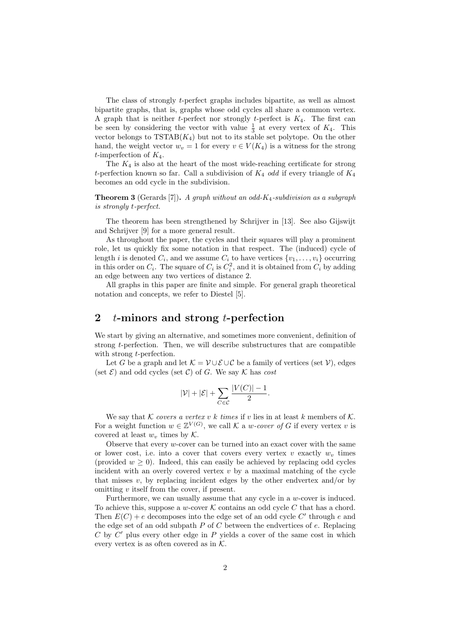The class of strongly *t*-perfect graphs includes bipartite, as well as almost bipartite graphs, that is, graphs whose odd cycles all share a common vertex. A graph that is neither *t*-perfect nor strongly *t*-perfect is *K*4. The first can be seen by considering the vector with value  $\frac{1}{3}$  at every vertex of  $K_4$ . This vector belongs to  $TSTAB(K_4)$  but not to its stable set polytope. On the other hand, the weight vector  $w_v = 1$  for every  $v \in V(K_4)$  is a witness for the strong *t*-imperfection of *K*4.

The  $K_4$  is also at the heart of the most wide-reaching certificate for strong *t*-perfection known so far. Call a subdivision of *K*<sup>4</sup> *odd* if every triangle of *K*<sup>4</sup> becomes an odd cycle in the subdivision.

**Theorem 3** (Gerards [7])**.** *A graph without an odd-K*4*-subdivision as a subgraph is strongly t-perfect.*

The theorem has been strengthened by Schrijver in [13]. See also Gijswijt and Schrijver [9] for a more general result.

As throughout the paper, the cycles and their squares will play a prominent role, let us quickly fix some notation in that respect. The (induced) cycle of length *i* is denoted  $C_i$ , and we assume  $C_i$  to have vertices  $\{v_1, \ldots, v_i\}$  occurring in this order on  $C_i$ . The square of  $C_i$  is  $C_i^2$ , and it is obtained from  $C_i$  by adding an edge between any two vertices of distance 2.

All graphs in this paper are finite and simple. For general graph theoretical notation and concepts, we refer to Diestel [5].

### **2** *t***-minors and strong** *t***-perfection**

We start by giving an alternative, and sometimes more convenient, definition of strong *t*-perfection. Then, we will describe substructures that are compatible with strong *t*-perfection.

Let *G* be a graph and let  $K = \mathcal{V} \cup \mathcal{E} \cup \mathcal{C}$  be a family of vertices (set  $\mathcal{V}$ ), edges (set  $\mathcal{E}$ ) and odd cycles (set  $\mathcal{C}$ ) of *G*. We say  $\mathcal{K}$  has *cost* 

$$
|\mathcal{V}| + |\mathcal{E}| + \sum_{C \in \mathcal{C}} \frac{|V(C)| - 1}{2}.
$$

We say that *K covers* a vertex v k times if v lies in at least k members of K. For a weight function  $w \in \mathbb{Z}^{V(G)}$ , we call  $K$  a *w-cover of G* if every vertex *v* is covered at least  $w_v$  times by  $K$ .

Observe that every *w*-cover can be turned into an exact cover with the same or lower cost, i.e. into a cover that covers every vertex  $v$  exactly  $w<sub>v</sub>$  times (provided  $w \geq 0$ ). Indeed, this can easily be achieved by replacing odd cycles incident with an overly covered vertex  $v$  by a maximal matching of the cycle that misses  $v$ , by replacing incident edges by the other endvertex and/or by omitting *v* itself from the cover, if present.

Furthermore, we can usually assume that any cycle in a *w*-cover is induced. To achieve this, suppose a *w*-cover  $K$  contains an odd cycle  $C$  that has a chord. Then  $E(C) + e$  decomposes into the edge set of an odd cycle C' through  $e$  and the edge set of an odd subpath *P* of *C* between the endvertices of *e*. Replacing  $C$  by  $C'$  plus every other edge in  $P$  yields a cover of the same cost in which every vertex is as often covered as in *K*.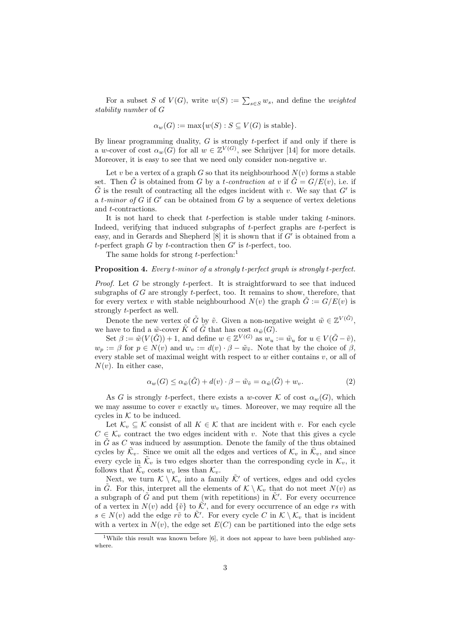For a subset *S* of  $V(G)$ , write  $w(S) := \sum_{s \in S} w_s$ , and define the *weighted stability number* of *G*

$$
\alpha_w(G) := \max\{w(S) : S \subseteq V(G) \text{ is stable}\}.
$$

By linear programming duality, *G* is strongly *t*-perfect if and only if there is a *w*-cover of cost  $\alpha_w(G)$  for all  $w \in \mathbb{Z}^{V(G)}$ , see Schrijver [14] for more details. Moreover, it is easy to see that we need only consider non-negative *w*.

Let *v* be a vertex of a graph *G* so that its neighbourhood  $N(v)$  forms a stable set. Then *G* is obtained from *G* by a *t-contraction at v* if  $\tilde{G} = G/E(v)$ , i.e. if  $\tilde{G}$  is the result of contracting all the edges incident with *v*. We say that  $G'$  is a  $t$ *-minor of*  $G$  if  $G'$  can be obtained from  $G$  by a sequence of vertex deletions and *t*-contractions.

It is not hard to check that *t*-perfection is stable under taking *t*-minors. Indeed, verifying that induced subgraphs of *t*-perfect graphs are *t*-perfect is easy, and in Gerards and Shepherd  $[8]$  it is shown that if  $G'$  is obtained from a *t*-perfect graph *G* by *t*-contraction then  $G'$  is *t*-perfect, too.

The same holds for strong *t*-perfection:<sup>1</sup>

#### **Proposition 4.** *Every t-minor of a strongly t-perfect graph is strongly t-perfect.*

*Proof.* Let *G* be strongly *t*-perfect. It is straightforward to see that induced subgraphs of *G* are strongly *t*-perfect, too. It remains to show, therefore, that for every vertex *v* with stable neighbourhood  $N(v)$  the graph  $\tilde{G} := G/E(v)$  is strongly *t*-perfect as well.

Denote the new vertex of  $\tilde{G}$  by  $\tilde{v}$ . Given a non-negative weight  $\tilde{w} \in \mathbb{Z}^{V(\tilde{G})}$ , we have to find a  $\tilde{w}$ -cover  $\tilde{K}$  of  $\tilde{G}$  that has cost  $\alpha_{\tilde{w}}(G)$ .

Set  $\beta := \tilde{w}(V(\tilde{G})) + 1$ , and define  $w \in \mathbb{Z}^{V(G)}$  as  $w_u := \tilde{w}_u$  for  $u \in V(\tilde{G} - \tilde{v})$ ,  $w_p := \beta$  for  $p \in N(v)$  and  $w_v := d(v) \cdot \beta - \tilde{w}_{\tilde{v}}$ . Note that by the choice of  $\beta$ , every stable set of maximal weight with respect to *w* either contains *v*, or all of  $N(v)$ . In either case,

$$
\alpha_w(G) \le \alpha_{\tilde{w}}(\tilde{G}) + d(v) \cdot \beta - \tilde{w}_{\tilde{v}} = \alpha_{\tilde{w}}(\tilde{G}) + w_v.
$$
\n(2)

As *G* is strongly *t*-perfect, there exists a *w*-cover  $K$  of cost  $\alpha_w(G)$ , which we may assume to cover  $v$  exactly  $w<sub>v</sub>$  times. Moreover, we may require all the cycles in  $K$  to be induced.

Let  $\mathcal{K}_v \subseteq \mathcal{K}$  consist of all  $K \in \mathcal{K}$  that are incident with *v*. For each cycle  $C \in \mathcal{K}_v$  contract the two edges incident with *v*. Note that this gives a cycle in  $\tilde{G}$  as  $C$  was induced by assumption. Denote the family of the thus obtained cycles by  $\tilde{\mathcal{K}}_v$ . Since we omit all the edges and vertices of  $\mathcal{K}_v$  in  $\tilde{\mathcal{K}}_v$ , and since every cycle in  $\tilde{\mathcal{K}}_v$  is two edges shorter than the corresponding cycle in  $\mathcal{K}_v$ , it follows that  $\tilde{\mathcal{K}}_v$  costs  $w_v$  less than  $\mathcal{K}_v$ .

Next, we turn  $K \setminus \mathcal{K}_v$  into a family  $\tilde{\mathcal{K}}'$  of vertices, edges and odd cycles in  $\tilde{G}$ . For this, interpret all the elements of  $\mathcal{K} \setminus \mathcal{K}_v$  that do not meet  $N(v)$  as a subgraph of  $\tilde{G}$  and put them (with repetitions) in  $\tilde{\mathcal{K}}'$ . For every occurrence of a vertex in  $N(v)$  add  $\{\tilde{v}\}\)$  to  $\tilde{\mathcal{K}}'$ , and for every occurrence of an edge *rs* with  $s \in N(v)$  add the edge  $r\tilde{v}$  to  $\tilde{\mathcal{K}}'$ . For every cycle *C* in  $\mathcal{K} \setminus \mathcal{K}_v$  that is incident with a vertex in  $N(v)$ , the edge set  $E(C)$  can be partitioned into the edge sets

<sup>&</sup>lt;sup>1</sup>While this result was known before [6], it does not appear to have been published anywhere.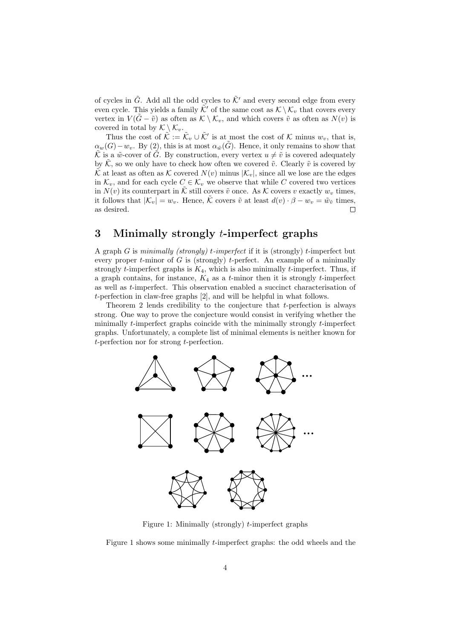of cycles in  $\tilde{G}$ . Add all the odd cycles to  $\tilde{\mathcal{K}}'$  and every second edge from every even cycle. This yields a family  $\tilde{\mathcal{K}}'$  of the same cost as  $\mathcal{K} \setminus \mathcal{K}_v$  that covers every vertex in  $V(\tilde{G} - \tilde{v})$  as often as  $K \setminus K_v$ , and which covers  $\tilde{v}$  as often as  $N(v)$  is covered in total by  $\mathcal{K} \setminus \mathcal{K}_v$ .

Thus the cost of  $\tilde{\mathcal{K}} := \tilde{\mathcal{K}}_v \cup \tilde{\mathcal{K}}'$  is at most the cost of  $\mathcal K$  minus  $w_v$ , that is,  $\alpha_w(G) - w_v$ . By (2), this is at most  $\alpha_w(\tilde{G})$ . Hence, it only remains to show that K is a  $\tilde{w}$ -cover of G. By construction, every vertex  $u \neq \tilde{v}$  is covered adequately by  $\hat{K}$ , so we only have to check how often we covered  $\tilde{v}$ . Clearly  $\tilde{v}$  is covered by  $\tilde{\mathcal{K}}$  at least as often as  $\mathcal{K}$  covered  $N(v)$  minus  $|\mathcal{K}_v|$ , since all we lose are the edges in  $\mathcal{K}_v$ , and for each cycle  $C \in \mathcal{K}_v$  we observe that while C covered two vertices in  $N(v)$  its counterpart in  $\tilde{\mathcal{K}}$  still covers  $\tilde{v}$  once. As  $\mathcal{K}$  covers  $v$  exactly  $w_v$  times, it follows that  $|\mathcal{K}_v| = w_v$ . Hence,  $\tilde{\mathcal{K}}$  covers  $\tilde{v}$  at least  $d(v) \cdot \beta - w_v = \tilde{w}_{\tilde{v}}$  times, as desired. П

# **3 Minimally strongly** *t***-imperfect graphs**

A graph *G* is *minimally (strongly) t-imperfect* if it is (strongly) *t*-imperfect but every proper *t*-minor of *G* is (strongly) *t*-perfect. An example of a minimally strongly *t*-imperfect graphs is *K*4, which is also minimally *t*-imperfect. Thus, if a graph contains, for instance,  $K_4$  as a *t*-minor then it is strongly *t*-imperfect as well as *t*-imperfect. This observation enabled a succinct characterisation of *t*-perfection in claw-free graphs [2], and will be helpful in what follows.

Theorem 2 lends credibility to the conjecture that *t*-perfection is always strong. One way to prove the conjecture would consist in verifying whether the minimally *t*-imperfect graphs coincide with the minimally strongly *t*-imperfect graphs. Unfortunately, a complete list of minimal elements is neither known for *t*-perfection nor for strong *t*-perfection.



Figure 1: Minimally (strongly) *t*-imperfect graphs

Figure 1 shows some minimally *t*-imperfect graphs: the odd wheels and the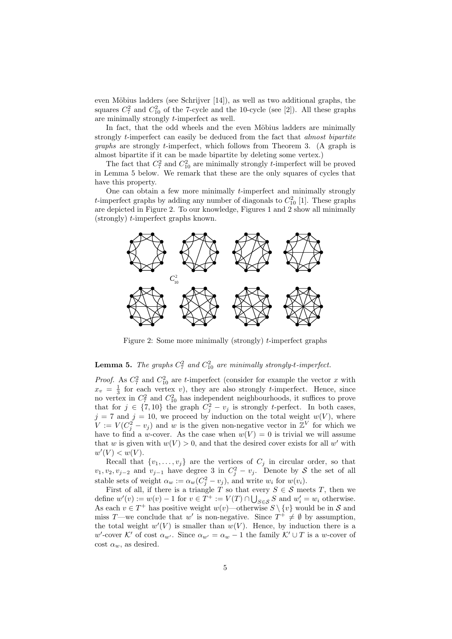even Möbius ladders (see Schrijver  $[14]$ ), as well as two additional graphs, the squares  $C_7^2$  and  $C_{10}^2$  of the 7-cycle and the 10-cycle (see [2]). All these graphs are minimally strongly *t*-imperfect as well.

In fact, that the odd wheels and the even Möbius ladders are minimally strongly *t*-imperfect can easily be deduced from the fact that *almost bipartite graphs* are strongly *t*-imperfect, which follows from Theorem 3. (A graph is almost bipartite if it can be made bipartite by deleting some vertex.)

The fact that  $C_7^2$  and  $C_{10}^2$  are minimally strongly *t*-imperfect will be proved in Lemma 5 below. We remark that these are the only squares of cycles that have this property.

One can obtain a few more minimally *t*-imperfect and minimally strongly *t*-imperfect graphs by adding any number of diagonals to  $C_{10}^2$  [1]. These graphs are depicted in Figure 2. To our knowledge, Figures 1 and 2 show all minimally (strongly) *t*-imperfect graphs known.



Figure 2: Some more minimally (strongly) *t*-imperfect graphs

### **Lemma 5.** *The graphs*  $C_7^2$  *and*  $C_{10}^2$  *are minimally strongly-t-imperfect.*

*Proof.* As  $C_7^2$  and  $C_{10}^2$  are *t*-imperfect (consider for example the vector *x* with  $x_v = \frac{1}{3}$  for each vertex *v*), they are also strongly *t*-imperfect. Hence, since no vertex in  $C_7^2$  and  $C_{10}^2$  has independent neighbourhoods, it suffices to prove that for  $j \in \{7, 10\}$  the graph  $C_j^2 - v_j$  is strongly *t*-perfect. In both cases,  $j = 7$  and  $j = 10$ , we proceed by induction on the total weight  $w(V)$ , where  $V := V(C_j^2 - v_j)$  and *w* is the given non-negative vector in  $\mathbb{Z}^V$  for which we have to find a *w*-cover. As the case when  $w(V) = 0$  is trivial we will assume that *w* is given with  $w(V) > 0$ , and that the desired cover exists for all *w'* with  $w'(V) < w(V)$ .

Recall that  $\{v_1, \ldots, v_j\}$  are the vertices of  $C_j$  in circular order, so that *v*<sub>1</sub>*, v*<sub>2</sub>*, v*<sub>*j*</sub>-2 and *v*<sub>*j*</sub>-1 have degree 3 in  $C_j^2 - v_j$ . Denote by *S* the set of all stable sets of weight  $\alpha_w := \alpha_w(C_j^2 - v_j)$ , and write  $w_i$  for  $w(v_i)$ .

First of all, if there is a triangle *T* so that every  $S \in \mathcal{S}$  meets *T*, then we define  $w'(v) := w(v) - 1$  for  $v \in T^+ := V(T) \cap \bigcup_{S \in \mathcal{S}} S$  and  $w'_i = w_i$  otherwise. As each  $v \in T^+$  has positive weight  $w(v)$ —otherwise  $S \setminus \{v\}$  would be in  $S$  and miss *T*—we conclude that *w'* is non-negative. Since  $T^+ \neq \emptyset$  by assumption, the total weight  $w'(V)$  is smaller than  $w(V)$ . Hence, by induction there is a  $w'$ -cover *K*<sup>*'*</sup> of cost  $\alpha_{w'}$ . Since  $\alpha_{w'} = \alpha_w - 1$  the family  $K' \cup T$  is a *w*-cover of cost  $\alpha_w$ , as desired.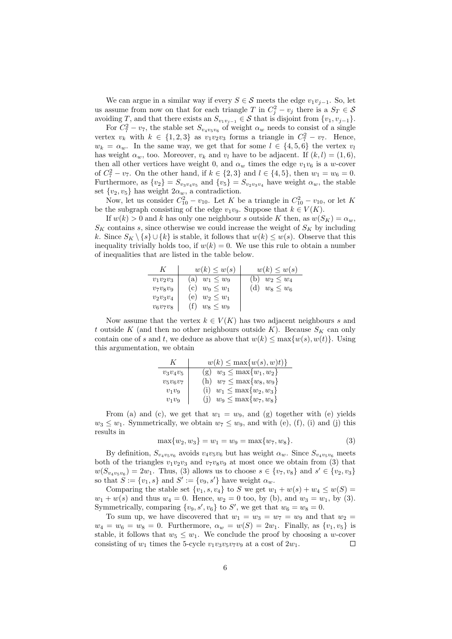We can argue in a similar way if every  $S \in \mathcal{S}$  meets the edge  $v_1v_{i-1}$ . So, let us assume from now on that for each triangle *T* in  $C_j^2 - v_j$  there is a  $S_T \in \mathcal{S}$ avoiding *T*, and that there exists an  $S_{v_1v_{j-1}} \in S$  that is disjoint from  $\{v_1, v_{j-1}\}.$ 

For  $C_7^2 - v_7$ , the stable set  $S_{v_4v_5v_6}$  of weight  $\alpha_w$  needs to consist of a single vertex  $v_k$  with  $k \in \{1, 2, 3\}$  as  $v_1v_2v_3$  forms a triangle in  $C_7^2 - v_7$ . Hence,  $w_k = \alpha_w$ . In the same way, we get that for some  $l \in \{4, 5, 6\}$  the vertex  $v_l$ has weight  $\alpha_w$ , too. Moreover,  $v_k$  and  $v_l$  have to be adjacent. If  $(k, l) = (1, 6)$ , then all other vertices have weight 0, and  $\alpha_w$  times the edge  $v_1v_6$  is a *w*-cover of  $C_7^2 - v_7$ . On the other hand, if  $k \in \{2,3\}$  and  $l \in \{4,5\}$ , then  $w_1 = w_6 = 0$ . Furthermore, as  $\{v_2\} = S_{v_3v_4v_5}$  and  $\{v_5\} = S_{v_2v_3v_4}$  have weight  $\alpha_w$ , the stable set  $\{v_2, v_5\}$  has weight  $2\alpha_w$ , a contradiction.

Now, let us consider  $C_{10}^2 - v_{10}$ . Let *K* be a triangle in  $C_{10}^2 - v_{10}$ , or let *K* be the subgraph consisting of the edge  $v_1v_9$ . Suppose that  $k \in V(K)$ .

If  $w(k) > 0$  and *k* has only one neighbour *s* outside *K* then, as  $w(S_K) = \alpha_w$ ,  $S_K$  contains *s*, since otherwise we could increase the weight of  $S_K$  by including *k*. Since  $S_K \setminus \{s\} \cup \{k\}$  is stable, it follows that  $w(k) \leq w(s)$ . Observe that this inequality trivially holds too, if  $w(k) = 0$ . We use this rule to obtain a number of inequalities that are listed in the table below.

| K           | $w(k) \leq w(s)$      | $w(k) \leq w(s)$      |
|-------------|-----------------------|-----------------------|
| $v_1v_2v_3$ | (a) $w_1 \leq w_9$    | (b)<br>$w_2 \leq w_4$ |
| $v_7v_8v_9$ | (c) $w_9 \leq w_1$    | (d)<br>$w_8 \leq w_6$ |
| $v_2v_3v_4$ | (e)<br>$w_2 \leq w_1$ |                       |
| $v_6v_7v_8$ | $w_8 \leq w_9$        |                       |

Now assume that the vertex  $k \in V(K)$  has two adjacent neighbours *s* and *t* outside *K* (and then no other neighbours outside *K*). Because  $S_K$  can only contain one of *s* and *t*, we deduce as above that  $w(k) \le \max\{w(s), w(t)\}\$ . Using this argumentation, we obtain

|             | $w(k) \leq \max\{w(s), w(t)\}\$   |
|-------------|-----------------------------------|
| $v_3v_4v_5$ | (g) $w_3 \le \max\{w_1, w_2\}$    |
| $v_5v_6v_7$ | $w_7 \le \max\{w_8, w_9\}$<br>(h) |
| $v_1v_9$    | $w_1 \le \max\{w_2, w_3\}$<br>(i) |
| $v_1v_9$    | $w_9 \le \max\{w_7, w_8\}$        |

From (a) and (c), we get that  $w_1 = w_9$ , and (g) together with (e) yields  $w_3 \leq w_1$ . Symmetrically, we obtain  $w_7 \leq w_9$ , and with (e), (f), (i) and (j) this results in

$$
\max\{w_2, w_3\} = w_1 = w_9 = \max\{w_7, w_8\}.
$$
\n(3)

By definition,  $S_{v_4v_5v_6}$  avoids  $v_4v_5v_6$  but has weight  $\alpha_w$ . Since  $S_{v_4v_5v_6}$  meets both of the triangles  $v_1v_2v_3$  and  $v_7v_8v_9$  at most once we obtain from (3) that  $w(S_{v_4v_5v_6}) = 2w_1$ . Thus, (3) allows us to choose  $s \in \{v_7, v_8\}$  and  $s' \in \{v_2, v_3\}$ so that  $S := \{v_1, s\}$  and  $S' := \{v_9, s'\}$  have weight  $\alpha_w$ .

Comparing the stable set  $\{v_1, s, v_4\}$  to *S* we get  $w_1 + w(s) + w_4 \leq w(S)$  =  $w_1 + w(s)$  and thus  $w_4 = 0$ . Hence,  $w_2 = 0$  too, by (b), and  $w_3 = w_1$ , by (3). Symmetrically, comparing  $\{v_9, s', v_6\}$  to *S'*, we get that  $w_6 = w_8 = 0$ .

To sum up, we have discovered that  $w_1 = w_3 = w_7 = w_9$  and that  $w_2 =$  $w_4 = w_6 = w_8 = 0$ . Furthermore,  $\alpha_w = w(S) = 2w_1$ . Finally, as  $\{v_1, v_5\}$  is stable, it follows that  $w_5 \leq w_1$ . We conclude the proof by choosing a *w*-cover consisting of  $w_1$  times the 5-cycle  $v_1v_3v_5v_7v_9$  at a cost of  $2w_1$ .  $\Box$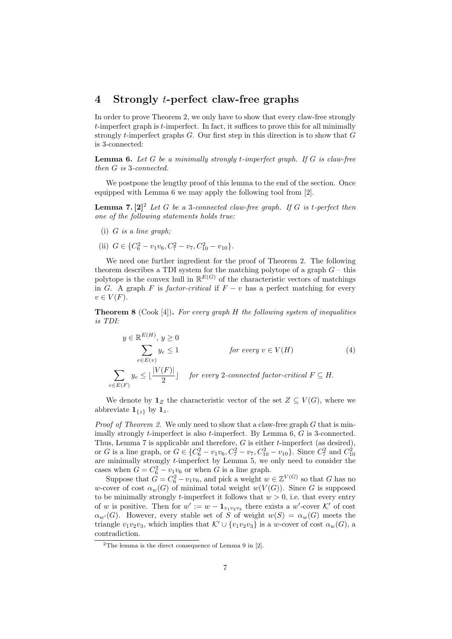## **4 Strongly** *t***-perfect claw-free graphs**

In order to prove Theorem 2, we only have to show that every claw-free strongly *t*-imperfect graph is *t*-imperfect. In fact, it suffices to prove this for all minimally strongly *t*-imperfect graphs *G*. Our first step in this direction is to show that *G* is 3-connected:

**Lemma 6.** *Let G be a minimally strongly t-imperfect graph. If G is claw-free then G is* 3*-connected.*

We postpone the lengthy proof of this lemma to the end of the section. Once equipped with Lemma 6 we may apply the following tool from [2].

**Lemma 7.**  $[2]^2$  *Let G be a* 3*-connected claw-free graph. If <i>G is t-perfect then one of the following statements holds true:*

- (i) *G is a line graph;*
- (ii)  $G \in \{C_6^2 v_1v_6, C_7^2 v_7, C_{10}^2 v_{10}\}.$

We need one further ingredient for the proof of Theorem 2. The following theorem describes a TDI system for the matching polytope of a graph  $G$  – this polytope is the convex hull in  $\mathbb{R}^{E(G)}$  of the characteristic vectors of matchings in *G*. A graph *F* is *factor-critical* if  $F - v$  has a perfect matching for every  $v \in V(F)$ .

**Theorem 8** (Cook [4])**.** *For every graph H the following system of inequalities is TDI:*

$$
y \in \mathbb{R}^{E(H)}, y \ge 0
$$
  
\n
$$
\sum_{e \in E(v)} y_e \le 1
$$
 for every  $v \in V(H)$  (4)  
\n
$$
\sum_{e \in E(F)} y_e \le \lfloor \frac{|V(F)|}{2} \rfloor
$$
 for every 2-connected factor-critical  $F \subseteq H$ .

We denote by  $\mathbf{1}_Z$  the characteristic vector of the set  $Z \subseteq V(G)$ , where we abbreviate  $\mathbf{1}_{\{z\}}$  by  $\mathbf{1}_z$ .

*Proof of Theorem 2.* We only need to show that a claw-free graph *G* that is minimally strongly *t*-imperfect is also *t*-imperfect. By Lemma 6, *G* is 3-connected. Thus, Lemma 7 is applicable and therefore, *G* is either *t*-imperfect (as desired), or *G* is a line graph, or  $G \in \{C_6^2 - v_1v_6, C_7^2 - v_7, C_{10}^2 - v_{10}\}$ . Since  $C_7^2$  and  $C_{10}^2$ are minimally strongly *t*-imperfect by Lemma 5, we only need to consider the cases when  $G = C_6^2 - v_1 v_6$  or when *G* is a line graph.

Suppose that  $G = C_6^2 - v_1 v_6$ , and pick a weight  $w \in \mathbb{Z}^{V(G)}$  so that *G* has no *w*-cover of cost  $\alpha_w(G)$  of minimal total weight  $w(V(G))$ . Since *G* is supposed to be minimally strongly *t*-imperfect it follows that  $w > 0$ , i.e. that every entry of *w* is positive. Then for  $w' := w - \mathbf{1}_{v_1 v_2 v_3}$  there exists a  $w'$ -cover  $\mathcal{K}'$  of cost  $\alpha_{w'}(G)$ . However, every stable set of *S* of weight  $w(S) = \alpha_w(G)$  meets the triangle  $v_1v_2v_3$ , which implies that  $\mathcal{K}' \cup \{v_1v_2v_3\}$  is a *w*-cover of cost  $\alpha_w(G)$ , a contradiction.

<sup>&</sup>lt;sup>2</sup>The lemma is the direct consequence of Lemma 9 in [2].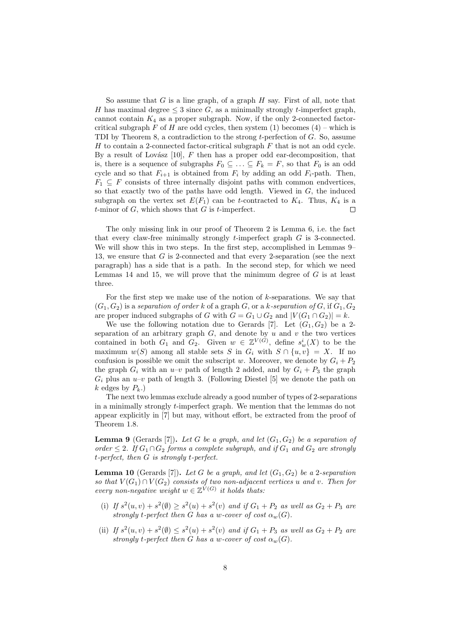So assume that *G* is a line graph, of a graph *H* say. First of all, note that *H* has maximal degree  $\leq$  3 since *G*, as a minimally strongly *t*-imperfect graph, cannot contain  $K_4$  as a proper subgraph. Now, if the only 2-connected factorcritical subgraph  $F$  of  $H$  are odd cycles, then system (1) becomes (4) – which is TDI by Theorem 8, a contradiction to the strong *t*-perfection of *G*. So, assume *H* to contain a 2-connected factor-critical subgraph *F* that is not an odd cycle. By a result of Lovász  $[10]$ ,  $F$  then has a proper odd ear-decomposition, that is, there is a sequence of subgraphs  $F_0 \subseteq \ldots \subseteq F_k = F$ , so that  $F_0$  is an odd cycle and so that  $F_{i+1}$  is obtained from  $F_i$  by adding an odd  $F_i$ -path. Then,  $F_1 \subseteq F$  consists of three internally disjoint paths with common endvertices, so that exactly two of the paths have odd length. Viewed in *G*, the induced subgraph on the vertex set  $E(F_1)$  can be *t*-contracted to  $K_4$ . Thus,  $K_4$  is a *t*-minor of *G*, which shows that *G* is *t*-imperfect. П

The only missing link in our proof of Theorem 2 is Lemma 6, i.e. the fact that every claw-free minimally strongly *t*-imperfect graph *G* is 3-connected. We will show this in two steps. In the first step, accomplished in Lemmas 9– 13, we ensure that *G* is 2-connected and that every 2-separation (see the next paragraph) has a side that is a path. In the second step, for which we need Lemmas 14 and 15, we will prove that the minimum degree of *G* is at least three.

For the first step we make use of the notion of *k*-separations. We say that  $(G_1, G_2)$  is a *separation of order*  $k$  of a graph  $G$ , or a  $k$ -separation of  $G$ , if  $G_1, G_2$ are proper induced subgraphs of *G* with  $G = G_1 \cup G_2$  and  $|V(G_1 \cap G_2)| = k$ .

We use the following notation due to Gerards [7]. Let  $(G_1, G_2)$  be a 2separation of an arbitrary graph  $G$ , and denote by  $u$  and  $v$  the two vertices contained in both  $G_1$  and  $G_2$ . Given  $w \in \mathbb{Z}^{V(G)}$ , define  $s_w^i(X)$  to be the maximum  $w(S)$  among all stable sets *S* in  $G_i$  with  $S \cap \{u, v\} = X$ . If no confusion is possible we omit the subscript *w*. Moreover, we denote by  $G_i + P_2$ the graph  $G_i$  with an  $u-v$  path of length 2 added, and by  $G_i + P_3$  the graph  $G_i$  plus an  $u-v$  path of length 3. (Following Diestel [5] we denote the path on  $k$  edges by  $P_k$ .)

The next two lemmas exclude already a good number of types of 2-separations in a minimally strongly *t*-imperfect graph. We mention that the lemmas do not appear explicitly in [7] but may, without effort, be extracted from the proof of Theorem 1.8.

**Lemma 9** (Gerards [7]). Let *G* be a graph, and let  $(G_1, G_2)$  be a separation of *order* ≤ 2*. If*  $G_1 ∩ G_2$  *forms a complete subgraph, and if*  $G_1$  *and*  $G_2$  *are strongly t-perfect, then G is strongly t-perfect.*

**Lemma 10** (Gerards [7]). Let G be a graph, and let  $(G_1, G_2)$  be a 2-separation *so that*  $V(G_1) \cap V(G_2)$  *consists of two non-adjacent vertices u and v. Then for every non-negative weight*  $w \in \mathbb{Z}^{V(G)}$  *it holds thats:* 

- (i) If  $s^2(u, v) + s^2(\emptyset) \ge s^2(u) + s^2(v)$  and if  $G_1 + P_2$  as well as  $G_2 + P_3$  are *strongly t-perfect then G has a w-cover of cost*  $\alpha_w(G)$ *.*
- (ii) If  $s^2(u, v) + s^2(\emptyset) \le s^2(u) + s^2(v)$  and if  $G_1 + P_3$  as well as  $G_2 + P_2$  are *strongly t-perfect then G has a w-cover of cost*  $\alpha_w(G)$ *.*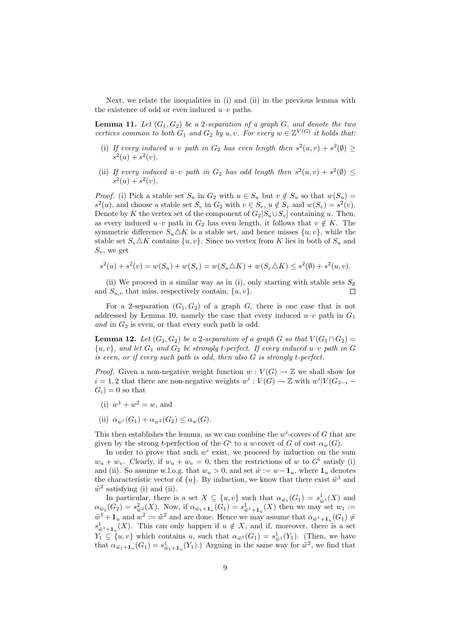Next, we relate the inequalities in (i) and (ii) in the previous lemma with the existence of odd or even induced  $u-v$  paths.

**Lemma 11.** Let  $(G_1, G_2)$  be a 2-separation of a graph  $G$ *, and denote the two vertices common to both*  $G_1$  *and*  $G_2$  *by u, v.* For every  $w \in \mathbb{Z}^{V(G)}$  *it holds that:* 

- (i) If every induced  $u-v$  path in  $G_2$  has even length then  $s^2(u, v) + s^2(\emptyset) \ge$  $s^2(u) + s^2(v)$ .
- (ii) If every induced  $u-v$  path in  $G_2$  has odd length then  $s^2(u, v) + s^2(\emptyset) \leq$  $s^2(u) + s^2(v)$ .

*Proof.* (i) Pick a stable set  $S_u$  in  $G_2$  with  $u \in S_u$  but  $v \notin S_u$  so that  $w(S_u)$  $s^2(u)$ , and choose a stable set  $S_v$  in  $G_2$  with  $v \in S_v$ ,  $u \notin S_v$  and  $w(S_v) = s^2(v)$ . Denote by *K* the vertex set of the component of  $G_2[S_u \cup S_v]$  containing *u*. Then, as every induced  $u-v$  path in  $G_2$  has even length, it follows that  $v \notin K$ . The symmetric difference  $S_u \Delta K$  is a stable set, and hence misses  $\{u, v\}$ , while the stable set  $S_v \Delta K$  contains  $\{u, v\}$ . Since no vertex from K lies in both of  $S_u$  and *Sv*, we get

$$
s^{2}(u) + s^{2}(v) = w(S_{u}) + w(S_{v}) = w(S_{u} \triangle K) + w(S_{v} \triangle K) \leq s^{2}(\emptyset) + s^{2}(u, v).
$$

(ii) We proceed in a similar way as in (i), only starting with stable sets  $S_{\emptyset}$ and  $S_{u,v}$  that miss, respectively contain,  $\{u,v\}$ . Г

For a 2-separation  $(G_1, G_2)$  of a graph *G*, there is one case that is not addressed by Lemma 10, namely the case that every induced  $u-v$  path in  $G_1$ *and* in *G*<sup>2</sup> is even, or that every such path is odd.

**Lemma 12.** *Let*  $(G_1, G_2)$  *be a* 2-separation of a graph *G* so that  $V(G_1 \cap G_2)$  =  $\{u, v\}$ *, and let*  $G_1$  *and*  $G_2$  *be strongly t*-perfect. If every induced  $u$ -*v* path in  $G$ *is even, or if every such path is odd, then also G is strongly t-perfect.*

*Proof.* Given a non-negative weight function  $w: V(G) \to \mathbb{Z}$  we shall show for  $i = 1, 2$  that there are non-negative weights  $w^i : V(G) \to \mathbb{Z}$  with  $w^i | V(G_{3-i} G_i$ ) = 0 so that

- (i)  $w^1 + w^2 = w$ , and
- (ii)  $\alpha_{w} (G_1) + \alpha_{w} (G_2) \leq \alpha_{w} (G)$ .

This then establishes the lemma, as we can combine the  $w^i$ -covers of  $G$  that are given by the strong *t*-perfection of the  $G^i$  to a *w*-cover of  $G$  of cost  $\alpha_w(G)$ .

In order to prove that such  $w^i$  exist, we proceed by induction on the sum  $w_u + w_v$ . Clearly, if  $w_u + w_v = 0$ , then the restrictions of *w* to  $G^i$  satisfy (i) and (ii). So assume w.l.o.g. that  $w_u > 0$ , and set  $\tilde{w} := w - \mathbf{1}_u$ , where  $\mathbf{1}_u$  denotes the characteristic vector of  $\{u\}$ . By induction, we know that there exist  $\tilde{w}^1$  and  $\tilde{w}^2$  satisfying (i) and (ii).

In particular, there is a set  $X \subseteq \{u, v\}$  such that  $\alpha_{\tilde{w}_1}(G_1) = s_{\tilde{w}^1}(X)$  and  $\alpha_{\tilde{w}_2}(G_2) = s_{\tilde{w}^2}^2(X)$ . Now, if  $\alpha_{\tilde{w}_1+1}$  (*G*<sub>1</sub>) =  $s_{\tilde{w}^1+1}$  (*X*) then we may set  $w_1$  :=  $\tilde{w}^1 + \mathbf{1}_u$  and  $w^2 := \tilde{w}^2$  and are done. Hence we may assume that  $\alpha_{\tilde{w}^1 + \mathbf{1}_u}(G_1) \neq$  $s^1_{\tilde{w}^1 + \mathbf{1}_u}(X)$ . This can only happen if  $u \notin X$ , and if, moreover, there is a set  $Y_1 \subseteq \{u, v\}$  which contains *u*, such that  $\alpha_{\tilde{w}^1}(G_1) = s_{\tilde{w}^1}^1(Y_1)$ . (Then, we have that  $\alpha_{\tilde{w}_1 + \mathbf{1}_u}(G_1) = s^1_{\tilde{w}_1 + \mathbf{1}_u}(Y_1)$ .) Arguing in the same way for  $\tilde{w}^2$ , we find that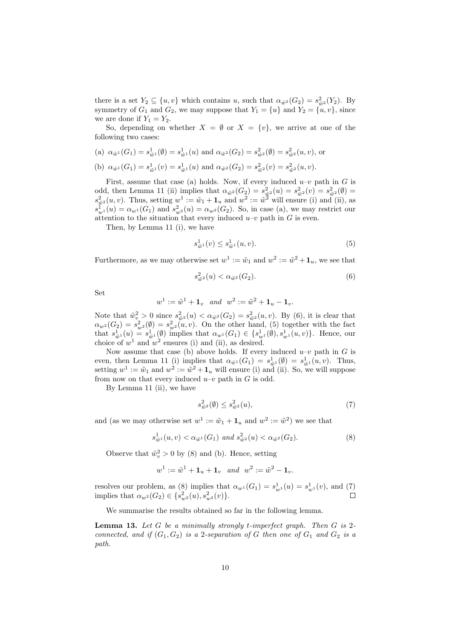there is a set  $Y_2 \subseteq \{u, v\}$  which contains *u*, such that  $\alpha_{\tilde{w}^2}(G_2) = s_{\tilde{w}^2}^2(Y_2)$ . By symmetry of  $G_1$  and  $G_2$ , we may suppose that  $Y_1 = \{u\}$  and  $Y_2 = \{u, v\}$ , since we are done if  $Y_1 = Y_2$ .

So, depending on whether  $X = \emptyset$  or  $X = \{v\}$ , we arrive at one of the following two cases:

(a)  $\alpha_{\tilde{w}^1}(G_1) = s_{\tilde{w}^1}^1(\emptyset) = s_{\tilde{w}^1}^1(u)$  and  $\alpha_{\tilde{w}^2}(G_2) = s_{\tilde{w}^2}^2(\emptyset) = s_{\tilde{w}^2}^2(u, v)$ , or (b)  $\alpha_{\tilde{w}^1}(G_1) = s_{\tilde{w}^1}(v) = s_{\tilde{w}^1}(u)$  and  $\alpha_{\tilde{w}^2}(G_2) = s_{\tilde{w}^2}(v) = s_{\tilde{w}^2}(u, v)$ .

First, assume that case (a) holds. Now, if every induced  $u-v$  path in *G* is odd, then Lemma 11 (ii) implies that  $\alpha_{\tilde{w}^2}(G_2) = s_{\tilde{w}^2}^2(u) = s_{\tilde{w}^2}^2(v) = s_{\tilde{w}^2}^2(\emptyset) =$  $s_{\tilde{w}^2}^2(u, v)$ . Thus, setting  $w^1 := \tilde{w}_1 + \mathbf{1}_u$  and  $w^2 := \tilde{w}^2$  will ensure (i) and (ii), as  $s_{w}^{\bar{1}}(u) = \alpha_{w}^{\bar{1}}(G_1)$  and  $s_{w}^2(u) = \alpha_{w}^2(G_2)$ . So, in case (a), we may restrict our attention to the situation that every induced  $u-v$  path in  $G$  is even.

Then, by Lemma 11 (i), we have

$$
s_{\tilde{w}^1}^1(v) \le s_{\tilde{w}^1}^1(u,v). \tag{5}
$$

Furthermore, as we may otherwise set  $w^1 := \tilde{w}_1$  and  $w^2 := \tilde{w}^2 + \mathbf{1}_u$ , we see that

$$
s_{\tilde{w}^2}^2(u) < \alpha_{\tilde{w}^2}(G_2). \tag{6}
$$

Set

$$
w^1:=\tilde{w}^1+\mathbf{1}_v\quad and\quad w^2:=\tilde{w}^2+\mathbf{1}_u-\mathbf{1}_v.
$$

Note that  $\tilde{w}_v^2 > 0$  since  $s_{\tilde{w}^2}^2(u) < \alpha_{\tilde{w}^2}(G_2) = s_{\tilde{w}^2}^2(u, v)$ . By (6), it is clear that  $\alpha_{w^2}(G_2) = s_{w^2}^2(\emptyset) = s_{w^2}^2(\mu, v)$ . On the other hand, (5) together with the fact that  $s_{\tilde{w}^1}(u) = s_{\tilde{w}^1}(0)$  implies that  $\alpha_{w^1}(G_1) \in \{s_{w^1}(0), s_{w^1}(u, v)\}$ . Hence, our choice of  $w^1$  and  $w^2$  ensures (i) and (ii), as desired.

Now assume that case (b) above holds. If every induced  $u-v$  path in *G* is even, then Lemma 11 (i) implies that  $\alpha_{\tilde{w}^1}(G_1) = s_{\tilde{w}^1}^1(\emptyset) = s_{\tilde{w}^1}^1(u, v)$ . Thus, setting  $w^1 := \tilde{w}_1$  and  $w^2 := \tilde{w}^2 + \mathbf{1}_u$  will ensure (i) and (ii). So, we will suppose from now on that every induced  $u-v$  path in  $G$  is odd.

By Lemma 11 (ii), we have

$$
s_{\tilde{w}^2}^2(\emptyset) \le s_{\tilde{w}^2}^2(u),\tag{7}
$$

and (as we may otherwise set  $w^1 := \tilde{w}_1 + \mathbf{1}_u$  and  $w^2 := \tilde{w}^2$ ) we see that

$$
s_{\tilde{w}^1}^1(u,v) < \alpha_{\tilde{w}^1}(G_1) \text{ and } s_{\tilde{w}^2}^2(u) < \alpha_{\tilde{w}^2}(G_2). \tag{8}
$$

Observe that  $\tilde{w}_v^2 > 0$  by (8) and (b). Hence, setting

$$
w^1 := \tilde{w}^1 + \mathbf{1}_u + \mathbf{1}_v \quad and \quad w^2 := \tilde{w}^2 - \mathbf{1}_v.
$$

resolves our problem, as (8) implies that  $\alpha_{w} (G_1) = s_{w}^1(u) = s_{w}^1(v)$ , and (7) implies that  $\alpha_{w^2}(G_2) \in \{s_w^2(u), s_w^2(v)\}.$ 

We summarise the results obtained so far in the following lemma.

**Lemma 13.** *Let G be a minimally strongly t-imperfect graph. Then G is* 2 *connected, and if*  $(G_1, G_2)$  *is a* 2*-separation of G then one of*  $G_1$  *and*  $G_2$  *is a path.*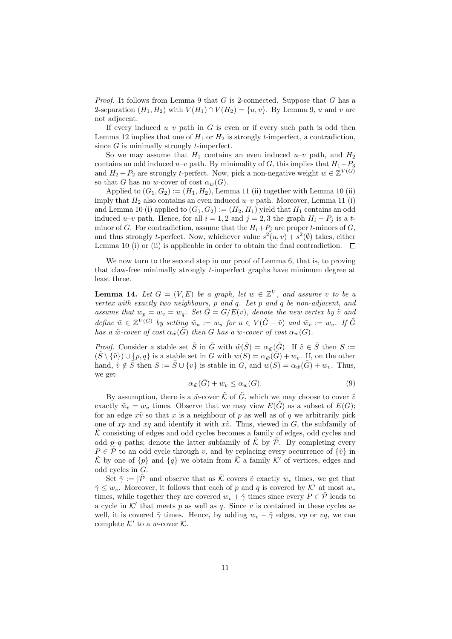*Proof.* It follows from Lemma 9 that *G* is 2-connected. Suppose that *G* has a 2-separation  $(H_1, H_2)$  with  $V(H_1) \cap V(H_2) = \{u, v\}$ . By Lemma 9, *u* and *v* are not adjacent.

If every induced  $u-v$  path in *G* is even or if every such path is odd then Lemma 12 implies that one of  $H_1$  or  $H_2$  is strongly *t*-imperfect, a contradiction, since *G* is minimally strongly *t*-imperfect.

So we may assume that  $H_1$  contains an even induced  $u-v$  path, and  $H_2$ contains an odd induced  $u-v$  path. By minimality of *G*, this implies that  $H_1+P_3$ and  $H_2 + P_2$  are strongly *t*-perfect. Now, pick a non-negative weight  $w \in \mathbb{Z}^{V(G)}$ so that *G* has no *w*-cover of cost  $\alpha_w(G)$ .

Applied to  $(G_1, G_2) := (H_1, H_2)$ , Lemma 11 (ii) together with Lemma 10 (ii) imply that  $H_2$  also contains an even induced  $u-v$  path. Moreover, Lemma 11 (i) and Lemma 10 (i) applied to  $(G_1, G_2) := (H_2, H_1)$  yield that  $H_1$  contains an odd induced  $u-v$  path. Hence, for all  $i = 1, 2$  and  $j = 2, 3$  the graph  $H_i + P_j$  is a  $t$ minor of *G*. For contradiction, assume that the  $H_i + P_j$  are proper *t*-minors of *G*, and thus strongly *t*-perfect. Now, whichever value  $s^2(u, v) + s^2(\emptyset)$  takes, either Lemma 10 (i) or (ii) is applicable in order to obtain the final contradiction.  $\Box$ 

We now turn to the second step in our proof of Lemma 6, that is, to proving that claw-free minimally strongly *t*-imperfect graphs have minimum degree at least three.

**Lemma 14.** *Let*  $G = (V, E)$  *be a graph, let*  $w \in \mathbb{Z}^V$ *, and assume v to be a vertex with exactly two neighbours, p and q. Let p and q be non-adjacent, and assume that*  $w_p = w_v = w_q$ *. Set*  $\tilde{G} = G/E(v)$ *, denote the new vertex by*  $\tilde{v}$  *and* define  $\tilde{w} \in \mathbb{Z}^{V(\tilde{G})}$  by setting  $\tilde{w}_u := w_u$  for  $u \in V(\tilde{G} - \tilde{v})$  and  $\tilde{w}_{\tilde{v}} := w_v$ . If  $\tilde{G}$ *has a*  $\tilde{w}$ -cover of cost  $\alpha_{\tilde{w}}(\tilde{G})$  then *G has a w*-cover of cost  $\alpha_w(G)$ .

*Proof.* Consider a stable set  $\tilde{S}$  in  $\tilde{G}$  with  $\tilde{w}(\tilde{S}) = \alpha_{\tilde{w}}(\tilde{G})$ . If  $\tilde{v} \in \tilde{S}$  then  $S :=$  $(\tilde{S} \setminus {\tilde{v}}) \cup \{p,q\}$  is a stable set in *G* with  $w(S) = \alpha_{\tilde{w}}(\tilde{G}) + w_v$ . If, on the other hand,  $\tilde{v} \notin \tilde{S}$  then  $S := \tilde{S} \cup \{v\}$  is stable in *G*, and  $w(S) = \alpha_{\tilde{w}}(\tilde{G}) + w_v$ . Thus, we get

$$
\alpha_{\tilde{w}}(\tilde{G}) + w_v \le \alpha_w(G). \tag{9}
$$

By assumption, there is a  $\tilde{w}$ -cover  $\tilde{\mathcal{K}}$  of  $\tilde{G}$ , which we may choose to cover  $\tilde{v}$ exactly  $\tilde{w}_{\tilde{v}} = w_v$  times. Observe that we may view  $E(\tilde{G})$  as a subset of  $E(G)$ ; for an edge  $x\tilde{v}$  so that x is a neighbour of p as well as of q we arbitrarily pick one of  $xp$  and  $xq$  and identify it with  $x\tilde{v}$ . Thus, viewed in *G*, the subfamily of *K*˜ consisting of edges and odd cycles becomes a family of edges, odd cycles and odd  $p-q$  paths; denote the latter subfamily of  $\hat{K}$  by  $\hat{P}$ . By completing every  $P \in \tilde{\mathcal{P}}$  to an odd cycle through *v*, and by replacing every occurrence of  $\{\tilde{v}\}\$ in  $\tilde{\mathcal{K}}$  by one of  $\{p\}$  and  $\{q\}$  we obtain from  $\tilde{\mathcal{K}}$  a family  $\mathcal{K}'$  of vertices, edges and odd cycles in *G*.

Set  $\tilde{\gamma} := |\tilde{\mathcal{P}}|$  and observe that as  $\tilde{\mathcal{K}}$  covers  $\tilde{v}$  exactly  $w_v$  times, we get that  $\tilde{\gamma}$  < *w*<sub>*v*</sub>. Moreover, it follows that each of *p* and *q* is covered by *K'* at most *w*<sub>*v*</sub> times, while together they are covered  $w_v + \tilde{\gamma}$  times since every  $P \in \tilde{\mathcal{P}}$  leads to a cycle in  $K'$  that meets  $p$  as well as  $q$ . Since  $v$  is contained in these cycles as well, it is covered  $\tilde{\gamma}$  times. Hence, by adding  $w_{\tilde{\gamma}} - \tilde{\gamma}$  edges, *vp* or *vq*, we can complete  $K'$  to a *w*-cover  $K$ .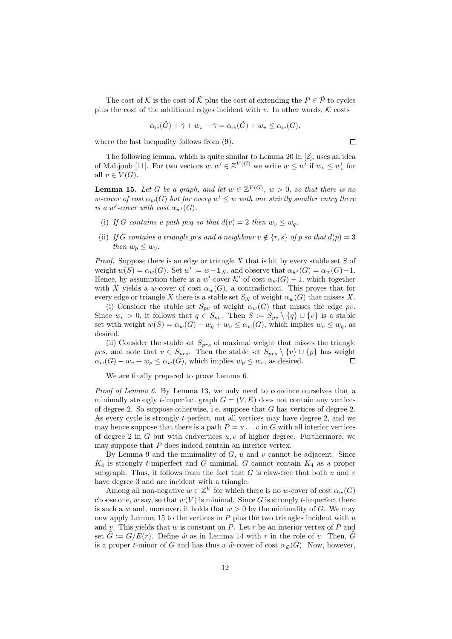The cost of  $K$  is the cost of  $\tilde{\mathcal{K}}$  plus the cost of extending the  $P \in \tilde{\mathcal{P}}$  to cycles plus the cost of the additional edges incident with  $v$ . In other words,  $K$  costs

$$
\alpha_{\tilde{w}}(\tilde{G}) + \tilde{\gamma} + w_v - \tilde{\gamma} = \alpha_{\tilde{w}}(\tilde{G}) + w_v \le \alpha_w(G),
$$

where the last inequality follows from (9).

 $\Box$ 

The following lemma, which is quite similar to Lemma 20 in [2], uses an idea of Mahjoub [11]. For two vectors  $w, w' \in \mathbb{Z}^{V(G)}$  we write  $w \leq w'$  if  $w_v \leq w'_v$  for all  $v \in V(G)$ .

**Lemma 15.** *Let G be a graph, and let*  $w \in \mathbb{Z}^{V(G)}$ ,  $w > 0$ , so that there is no  $w$ *-cover of cost*  $\alpha_w(G)$  *but for every*  $w' \leq w$  *with one strictly smaller entry there is a w*'-cover with cost  $\alpha_{w'}(G)$ .

- (i) If *G* contains a path pvq so that  $d(v) = 2$  then  $w_v \leq w_a$ .
- (ii) *If G* contains a triangle prs and a neighbour  $v \notin \{r, s\}$  of p so that  $d(p) = 3$ *then*  $w_p \leq w_p$ *.*

*Proof.* Suppose there is an edge or triangle *X* that is hit by every stable set *S* of weight  $w(S) = \alpha_w(G)$ . Set  $w' := w - \mathbf{1}_X$ , and observe that  $\alpha_{w'}(G) = \alpha_w(G) - 1$ . Hence, by assumption there is a  $w'$ -cover  $K'$  of cost  $\alpha_w(G) - 1$ , which together with *X* yields a *w*-cover of cost  $\alpha_w(G)$ , a contradiction. This proves that for every edge or triangle *X* there is a stable set  $S_X$  of weight  $\alpha_w(G)$  that misses *X*.

(i) Consider the stable set  $S_{pv}$  of weight  $\alpha_w(G)$  that misses the edge  $pv$ . Since  $w_v > 0$ , it follows that  $q \in S_{pv}$ . Then  $S := S_{pv} \setminus \{q\} \cup \{v\}$  is a stable set with weight  $w(S) = \alpha_w(G) - w_q + w_v \leq \alpha_w(G)$ , which implies  $w_v \leq w_q$ , as desired.

(ii) Consider the stable set *Sprs* of maximal weight that misses the triangle *prs*, and note that  $v \in S_{prs}$ . Then the stable set  $S_{prs} \setminus \{v\} \cup \{p\}$  has weight  $\alpha_w(G) - w_v + w_p \leq \alpha_w(G)$ , which implies  $w_p \leq w_v$ , as desired. П

We are finally prepared to prove Lemma 6.

*Proof of Lemma 6.* By Lemma 13, we only need to convince ourselves that a minimally strongly *t*-imperfect graph  $G = (V, E)$  does not contain any vertices of degree 2. So suppose otherwise, i.e. suppose that *G* has vertices of degree 2. As every cycle is strongly *t*-perfect, not all vertices may have degree 2, and we may hence suppose that there is a path  $P = u \dots v$  in *G* with all interior vertices of degree 2 in *G* but with endvertices *u, v* of higher degree. Furthermore, we may suppose that *P* does indeed contain an interior vertex.

By Lemma 9 and the minimality of *G*, *u* and *v* cannot be adjacent. Since  $K_4$  is strongly *t*-imperfect and *G* minimal, *G* cannot contain  $K_4$  as a proper subgraph. Thus, it follows from the fact that  $G$  is claw-free that both  $u$  and  $v$ have degree 3 and are incident with a triangle.

Among all non-negative  $w \in \mathbb{Z}^V$  for which there is no *w*-cover of cost  $\alpha_w(G)$ choose one, *w* say, so that  $w(V)$  is minimal. Since *G* is strongly *t*-imperfect there is such a *w* and, moreover, it holds that  $w > 0$  by the minimality of *G*. We may now apply Lemma 15 to the vertices in *P* plus the two triangles incident with *u* and *v*. This yields that *w* is constant on *P*. Let *r* be an interior vertex of *P* and set  $\tilde{G} := G/E(r)$ . Define  $\tilde{w}$  as in Lemma 14 with r in the role of v. Then,  $\tilde{G}$ is a proper *t*-minor of *G* and has thus a  $\tilde{w}$ -cover of cost  $\alpha_{\tilde{w}}(G)$ . Now, however,